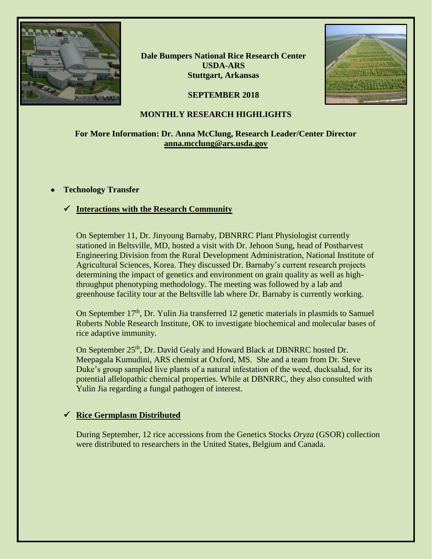

**Dale Bumpers National Rice Research Center USDA-ARS Stuttgart, Arkansas**



# **SEPTEMBER 2018**

## **MONTHLY RESEARCH HIGHLIGHTS**

# **For More Information: Dr. Anna McClung, Research Leader/Center Director [anna.mcclung@ars.usda.gov](mailto:anna.mcclung@ars.usda.gov)**

### • **Technology Transfer**

# ✓ **Interactions with the Research Community**

On September 11, Dr. Jinyoung Barnaby, DBNRRC Plant Physiologist currently stationed in Beltsville, MD, hosted a visit with Dr. Jehoon Sung, head of Postharvest Engineering Division from the Rural Development Administration, National Institute of Agricultural Sciences, Korea. They discussed Dr. Barnaby's current research projects determining the impact of genetics and environment on grain quality as well as highthroughput phenotyping methodology. The meeting was followed by a lab and greenhouse facility tour at the Beltsville lab where Dr. Barnaby is currently working.

On September 17<sup>th</sup>, Dr. Yulin Jia transferred 12 genetic materials in plasmids to Samuel Roberts Noble Research Institute, OK to investigate biochemical and molecular bases of rice adaptive immunity.

On September 25<sup>th</sup>, Dr. David Gealy and Howard Black at DBNRRC hosted Dr. Meepagala Kumudini, ARS chemist at Oxford, MS. She and a team from Dr. Steve Duke's group sampled live plants of a natural infestation of the weed, ducksalad, for its potential allelopathic chemical properties. While at DBNRRC, they also consulted with Yulin Jia regarding a fungal pathogen of interest.

# ✓ **Rice Germplasm Distributed**

During September, 12 rice accessions from the Genetics Stocks *Oryza* (GSOR) collection were distributed to researchers in the United States, Belgium and Canada.